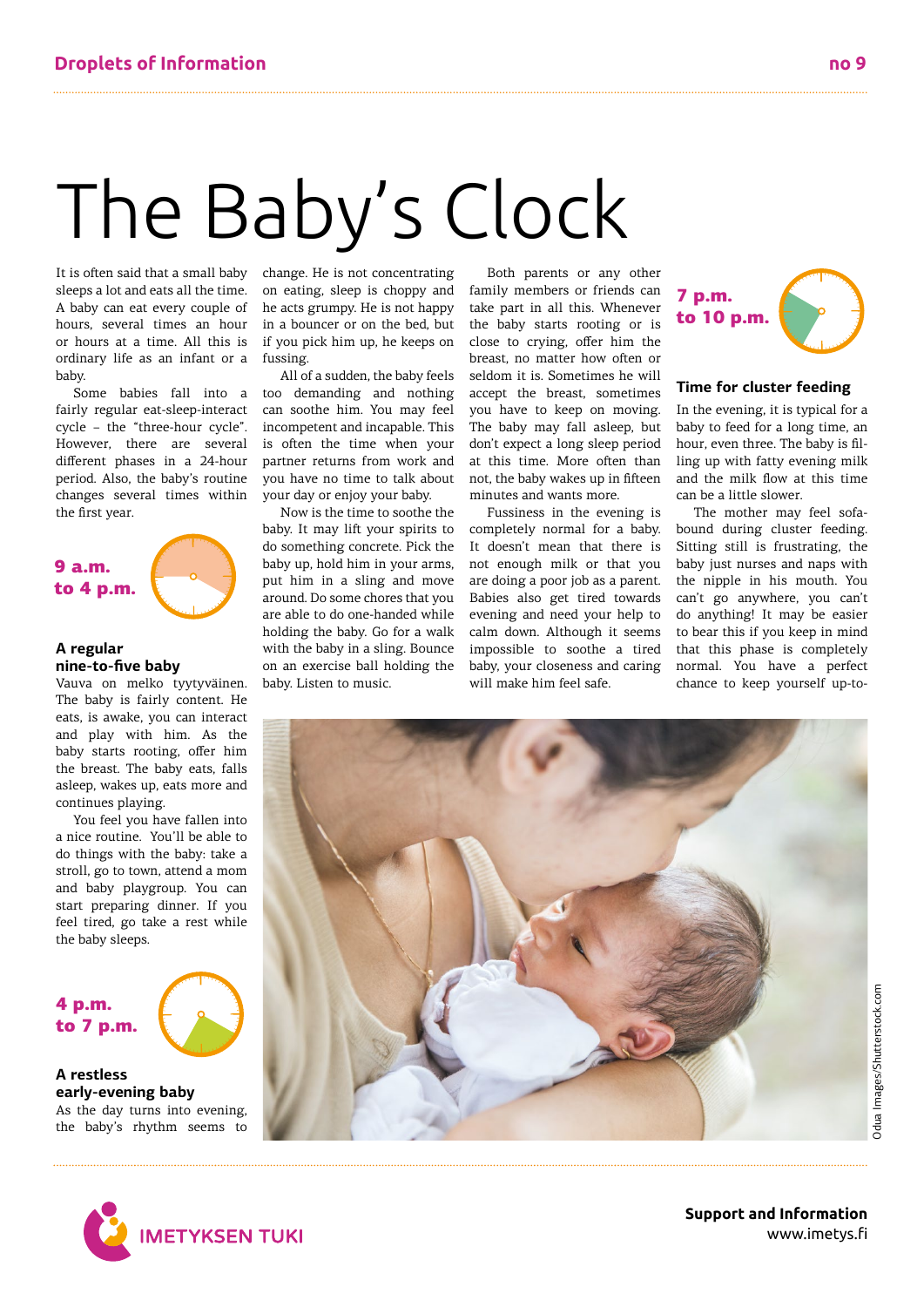# The Baby's Clock

It is often said that a small baby sleeps a lot and eats all the time. A baby can eat every couple of hours, several times an hour or hours at a time. All this is ordinary life as an infant or a baby.

Some babies fall into a fairly regular eat-sleep-interact cycle – the "three-hour cycle". However, there are several different phases in a 24-hour period. Also, the baby's routine changes several times within the first year.

# 9 a.m. to 4 p.m.



# **A regular nine-to-five baby**

Vauva on melko tyytyväinen. The baby is fairly content. He eats, is awake, you can interact and play with him. As the baby starts rooting, offer him the breast. The baby eats, falls asleep, wakes up, eats more and continues playing.

You feel you have fallen into a nice routine. You'll be able to do things with the baby: take a stroll, go to town, attend a mom and baby playgroup. You can start preparing dinner. If you feel tired, go take a rest while the baby sleeps.

4 p.m. to 7 p.m.



**A restless early-evening baby** As the day turns into evening, the baby's rhythm seems to change. He is not concentrating on eating, sleep is choppy and he acts grumpy. He is not happy in a bouncer or on the bed, but if you pick him up, he keeps on fussing.

All of a sudden, the baby feels too demanding and nothing can soothe him. You may feel incompetent and incapable. This is often the time when your partner returns from work and you have no time to talk about your day or enjoy your baby.

Now is the time to soothe the baby. It may lift your spirits to do something concrete. Pick the baby up, hold him in your arms, put him in a sling and move around. Do some chores that you are able to do one-handed while holding the baby. Go for a walk with the baby in a sling. Bounce on an exercise ball holding the baby. Listen to music.

Both parents or any other family members or friends can take part in all this. Whenever the baby starts rooting or is close to crying, offer him the breast, no matter how often or seldom it is. Sometimes he will accept the breast, sometimes you have to keep on moving. The baby may fall asleep, but don't expect a long sleep period at this time. More often than not, the baby wakes up in fifteen minutes and wants more.

Fussiness in the evening is completely normal for a baby. It doesn't mean that there is not enough milk or that you are doing a poor job as a parent. Babies also get tired towards evening and need your help to calm down. Although it seems impossible to soothe a tired baby, your closeness and caring will make him feel safe.



# **Time for cluster feeding**

In the evening, it is typical for a baby to feed for a long time, an hour, even three. The baby is filling up with fatty evening milk and the milk flow at this time can be a little slower.

The mother may feel sofabound during cluster feeding. Sitting still is frustrating, the baby just nurses and naps with the nipple in his mouth. You can't go anywhere, you can't do anything! It may be easier to bear this if you keep in mind that this phase is completely normal. You have a perfect chance to keep yourself up-to-





**Support and Information** www.imetys.fi